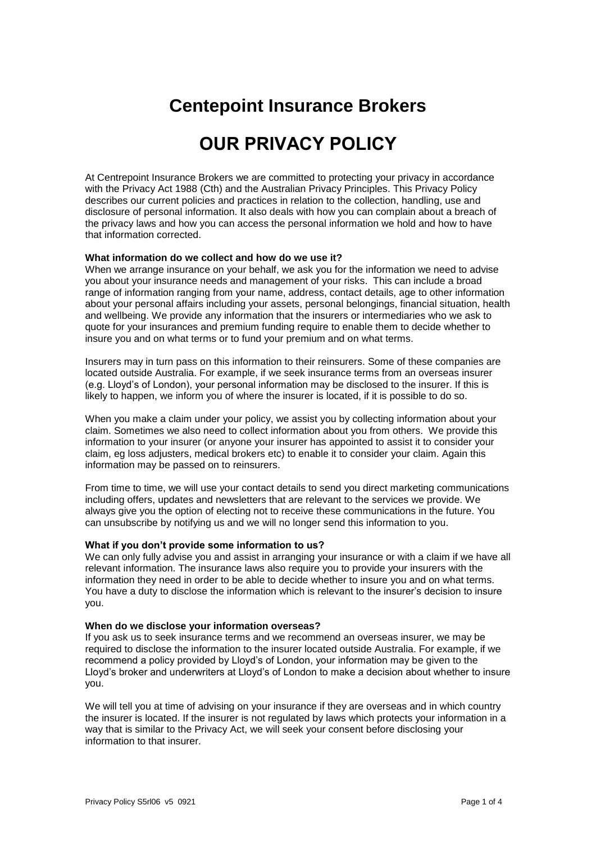## **Centepoint Insurance Brokers**

# **OUR PRIVACY POLICY**

At Centrepoint Insurance Brokers we are committed to protecting your privacy in accordance with the Privacy Act 1988 (Cth) and the Australian Privacy Principles. This Privacy Policy describes our current policies and practices in relation to the collection, handling, use and disclosure of personal information. It also deals with how you can complain about a breach of the privacy laws and how you can access the personal information we hold and how to have that information corrected.

#### **What information do we collect and how do we use it?**

When we arrange insurance on your behalf, we ask you for the information we need to advise you about your insurance needs and management of your risks. This can include a broad range of information ranging from your name, address, contact details, age to other information about your personal affairs including your assets, personal belongings, financial situation, health and wellbeing. We provide any information that the insurers or intermediaries who we ask to quote for your insurances and premium funding require to enable them to decide whether to insure you and on what terms or to fund your premium and on what terms.

Insurers may in turn pass on this information to their reinsurers. Some of these companies are located outside Australia. For example, if we seek insurance terms from an overseas insurer (e.g. Lloyd's of London), your personal information may be disclosed to the insurer. If this is likely to happen, we inform you of where the insurer is located, if it is possible to do so.

When you make a claim under your policy, we assist you by collecting information about your claim. Sometimes we also need to collect information about you from others. We provide this information to your insurer (or anyone your insurer has appointed to assist it to consider your claim, eg loss adjusters, medical brokers etc) to enable it to consider your claim. Again this information may be passed on to reinsurers.

From time to time, we will use your contact details to send you direct marketing communications including offers, updates and newsletters that are relevant to the services we provide. We always give you the option of electing not to receive these communications in the future. You can unsubscribe by notifying us and we will no longer send this information to you.

## **What if you don't provide some information to us?**

We can only fully advise you and assist in arranging your insurance or with a claim if we have all relevant information. The insurance laws also require you to provide your insurers with the information they need in order to be able to decide whether to insure you and on what terms. You have a duty to disclose the information which is relevant to the insurer's decision to insure you.

#### **When do we disclose your information overseas?**

If you ask us to seek insurance terms and we recommend an overseas insurer, we may be required to disclose the information to the insurer located outside Australia. For example, if we recommend a policy provided by Lloyd's of London, your information may be given to the Lloyd's broker and underwriters at Lloyd's of London to make a decision about whether to insure you.

We will tell you at time of advising on your insurance if they are overseas and in which country the insurer is located. If the insurer is not regulated by laws which protects your information in a way that is similar to the Privacy Act, we will seek your consent before disclosing your information to that insurer.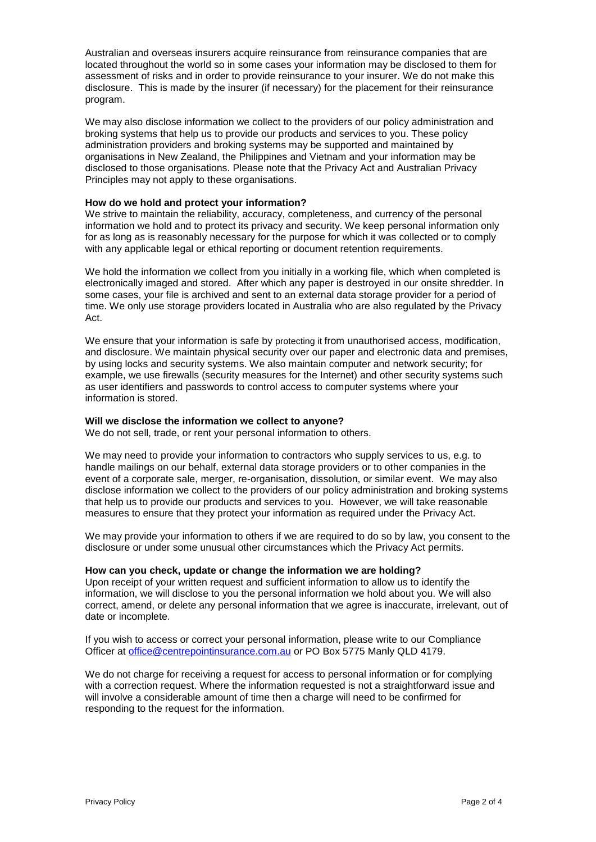Australian and overseas insurers acquire reinsurance from reinsurance companies that are located throughout the world so in some cases your information may be disclosed to them for assessment of risks and in order to provide reinsurance to your insurer. We do not make this disclosure. This is made by the insurer (if necessary) for the placement for their reinsurance program.

We may also disclose information we collect to the providers of our policy administration and broking systems that help us to provide our products and services to you. These policy administration providers and broking systems may be supported and maintained by organisations in New Zealand, the Philippines and Vietnam and your information may be disclosed to those organisations. Please note that the Privacy Act and Australian Privacy Principles may not apply to these organisations.

## **How do we hold and protect your information?**

We strive to maintain the reliability, accuracy, completeness, and currency of the personal information we hold and to protect its privacy and security. We keep personal information only for as long as is reasonably necessary for the purpose for which it was collected or to comply with any applicable legal or ethical reporting or document retention requirements.

We hold the information we collect from you initially in a working file, which when completed is electronically imaged and stored. After which any paper is destroyed in our onsite shredder. In some cases, your file is archived and sent to an external data storage provider for a period of time. We only use storage providers located in Australia who are also regulated by the Privacy Act.

We ensure that your information is safe by protecting it from unauthorised access, modification, and disclosure. We maintain physical security over our paper and electronic data and premises, by using locks and security systems. We also maintain computer and network security; for example, we use firewalls (security measures for the Internet) and other security systems such as user identifiers and passwords to control access to computer systems where your information is stored.

#### **Will we disclose the information we collect to anyone?**

We do not sell, trade, or rent your personal information to others.

We may need to provide your information to contractors who supply services to us, e.g. to handle mailings on our behalf, external data storage providers or to other companies in the event of a corporate sale, merger, re-organisation, dissolution, or similar event. We may also disclose information we collect to the providers of our policy administration and broking systems that help us to provide our products and services to you. However, we will take reasonable measures to ensure that they protect your information as required under the Privacy Act.

We may provide your information to others if we are required to do so by law, you consent to the disclosure or under some unusual other circumstances which the Privacy Act permits.

#### **How can you check, update or change the information we are holding?**

Upon receipt of your written request and sufficient information to allow us to identify the information, we will disclose to you the personal information we hold about you. We will also correct, amend, or delete any personal information that we agree is inaccurate, irrelevant, out of date or incomplete.

If you wish to access or correct your personal information, please write to our Compliance Officer at [office@centrepointinsurance.com.au](mailto:office@centrepointinsurance.com.au) or PO Box 5775 Manly QLD 4179.

We do not charge for receiving a request for access to personal information or for complying with a correction request. Where the information requested is not a straightforward issue and will involve a considerable amount of time then a charge will need to be confirmed for responding to the request for the information.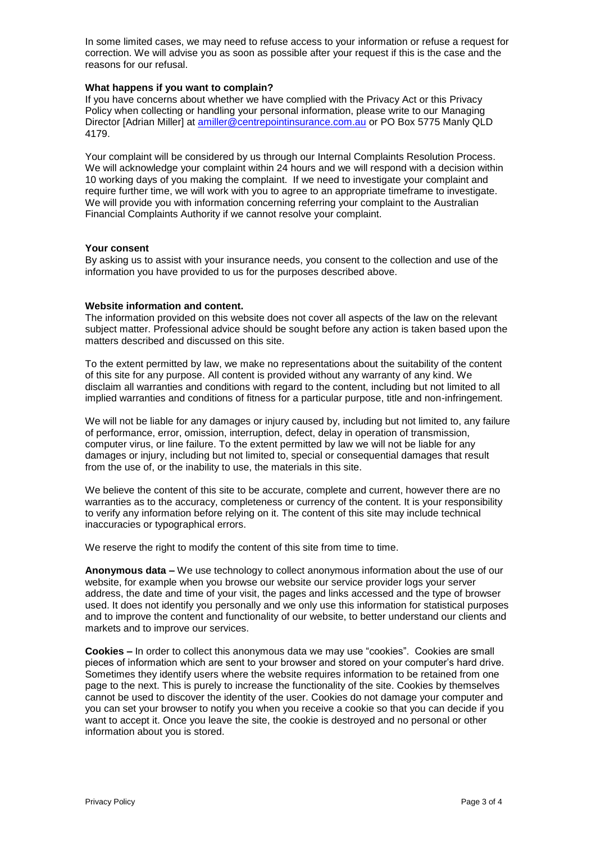In some limited cases, we may need to refuse access to your information or refuse a request for correction. We will advise you as soon as possible after your request if this is the case and the reasons for our refusal.

## **What happens if you want to complain?**

If you have concerns about whether we have complied with the Privacy Act or this Privacy Policy when collecting or handling your personal information, please write to our Managing Director [Adrian Miller] at [amiller@centrepointinsurance.com.au](mailto:amiller@centrepointinsurance.com.au) or PO Box 5775 Manly QLD 4179.

Your complaint will be considered by us through our Internal Complaints Resolution Process. We will acknowledge your complaint within 24 hours and we will respond with a decision within 10 working days of you making the complaint. If we need to investigate your complaint and require further time, we will work with you to agree to an appropriate timeframe to investigate. We will provide you with information concerning referring your complaint to the Australian Financial Complaints Authority if we cannot resolve your complaint.

## **Your consent**

By asking us to assist with your insurance needs, you consent to the collection and use of the information you have provided to us for the purposes described above.

## **Website information and content.**

The information provided on this website does not cover all aspects of the law on the relevant subject matter. Professional advice should be sought before any action is taken based upon the matters described and discussed on this site.

To the extent permitted by law, we make no representations about the suitability of the content of this site for any purpose. All content is provided without any warranty of any kind. We disclaim all warranties and conditions with regard to the content, including but not limited to all implied warranties and conditions of fitness for a particular purpose, title and non-infringement.

We will not be liable for any damages or injury caused by, including but not limited to, any failure of performance, error, omission, interruption, defect, delay in operation of transmission, computer virus, or line failure. To the extent permitted by law we will not be liable for any damages or injury, including but not limited to, special or consequential damages that result from the use of, or the inability to use, the materials in this site.

We believe the content of this site to be accurate, complete and current, however there are no warranties as to the accuracy, completeness or currency of the content. It is your responsibility to verify any information before relying on it. The content of this site may include technical inaccuracies or typographical errors.

We reserve the right to modify the content of this site from time to time.

**Anonymous data –** We use technology to collect anonymous information about the use of our website, for example when you browse our website our service provider logs your server address, the date and time of your visit, the pages and links accessed and the type of browser used. It does not identify you personally and we only use this information for statistical purposes and to improve the content and functionality of our website, to better understand our clients and markets and to improve our services.

**Cookies –** In order to collect this anonymous data we may use "cookies". Cookies are small pieces of information which are sent to your browser and stored on your computer's hard drive. Sometimes they identify users where the website requires information to be retained from one page to the next. This is purely to increase the functionality of the site. Cookies by themselves cannot be used to discover the identity of the user. Cookies do not damage your computer and you can set your browser to notify you when you receive a cookie so that you can decide if you want to accept it. Once you leave the site, the cookie is destroyed and no personal or other information about you is stored.